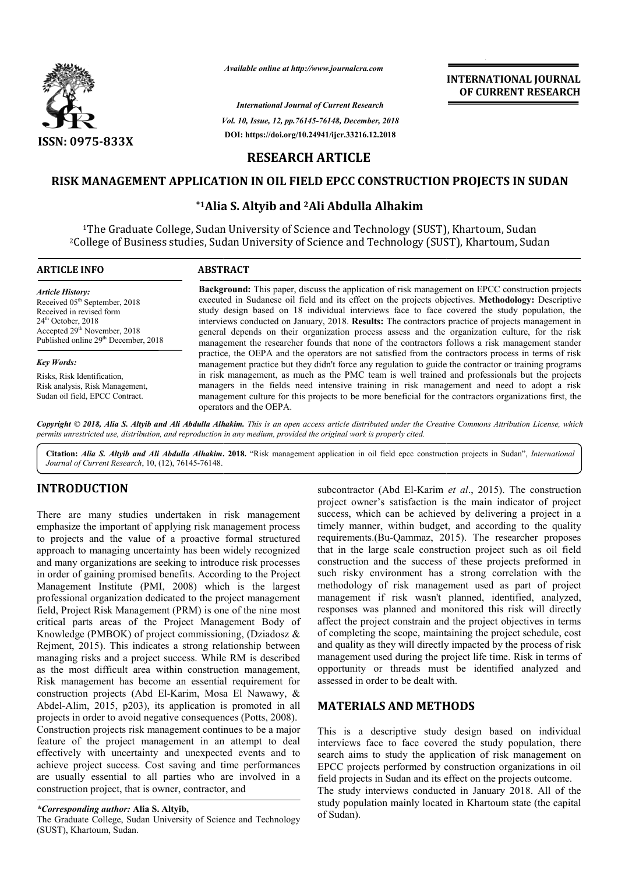

*Available online at http://www.journalcra.com*

*Vol. 10, Issue, 12, pp.76145-76148, December, 2018 International Journal of Current Research* **DOI: https://doi.org/10.24941/ijcr.33216.12.2018**

# **INTERNATIONAL JOURNAL OF CURRENT RESEARCH**

## **RESEARCH ARTICLE**

#### **RISK MANAGEMENT APPLICATION IN OIL FIELD EPCC CONSTRUCTION PROJECTS IN SUDAN RISK MANAGEMENT SUDAN**

# **\*1Alia S. Alia Altyib and 2Ali Abdulla Alhakim**

1The Graduate College, Sudan University of Science and Technology (SUST), Khartoum, Sudan <sup>1</sup>The Graduate College, Sudan University of Science and Technology (SUST), Khartoum, Sudan <sup>2</sup>College of Business studies, Sudan University of Science and Technology (SUST), Khartoum, Sudan

| <b>ARTICLE INFO</b>                                                                                                                                                                                                      | <b>ABSTRACT</b>                                                                                                                                                                                                                                                                                                                                                                                                                                                                                                                                                                                                                                                                                                                    |
|--------------------------------------------------------------------------------------------------------------------------------------------------------------------------------------------------------------------------|------------------------------------------------------------------------------------------------------------------------------------------------------------------------------------------------------------------------------------------------------------------------------------------------------------------------------------------------------------------------------------------------------------------------------------------------------------------------------------------------------------------------------------------------------------------------------------------------------------------------------------------------------------------------------------------------------------------------------------|
| <b>Article History:</b><br>Received 05 <sup>th</sup> September, 2018<br>Received in revised form<br>$24th$ October, 2018<br>Accepted 29 <sup>th</sup> November, 2018<br>Published online 29 <sup>th</sup> December, 2018 | <b>Background:</b> This paper, discuss the application of risk management on EPCC construction projects<br>executed in Sudanese oil field and its effect on the projects objectives. Methodology: Descriptive<br>study design based on 18 individual interviews face to face covered the study population, the<br>interviews conducted on January, 2018. Results: The contractors practice of projects management in<br>general depends on their organization process assess and the organization culture, for the risk<br>management the researcher founds that none of the contractors follows a risk management stander<br>practice, the OEPA and the operators are not satisfied from the contractors process in terms of risk |
| <b>Key Words:</b>                                                                                                                                                                                                        | management practice but they didn't force any regulation to guide the contractor or training programs                                                                                                                                                                                                                                                                                                                                                                                                                                                                                                                                                                                                                              |
| Risks, Risk Identification,<br>Risk analysis, Risk Management,<br>Sudan oil field, EPCC Contract.                                                                                                                        | in risk management, as much as the PMC team is well trained and professionals but the projects<br>managers in the fields need intensive training in risk management and need to adopt a risk<br>management culture for this projects to be more beneficial for the contractors organizations first, the<br>operators and the OEPA.                                                                                                                                                                                                                                                                                                                                                                                                 |

Copyright © 2018, Alia S. Altyib and Ali Abdulla Alhakim. This is an open access article distributed under the Creative Commons Attribution License, which permits unrestricted use, distribution, and reproduction in any medium, provided the original work is properly cited.

Citation: *Alia S. Altyib and Ali Abdulla Alhakim.* 2018. "Risk management application in oil field epcc construction projects in Sudan", *International Journal of Current Research*, 10, (12), 76145-76148.

## **INTRODUCTION**

There are many studies undertaken in risk management emphasize the important of applying risk management process to projects and the value of a proactive formal structured approach to managing uncertainty has been widely recognized and many organizations are seeking to introduce risk processes in order of gaining promised benefits. According to the Project Management Institute (PMI, 2008) which is the largest professional organization dedicated to the project management field, Project Risk Management (PRM) is one of the nine most critical parts areas of the Project Management Body of Knowledge (PMBOK) of project commissioning, (Dziadosz & Rejment, 2015). This indicates a strong relationship between managing risks and a project success. While RM is described as the most difficult area within construction management, Risk management has become an essential requirement for construction projects (Abd El-Karim, Mosa El Nawawy, & Abdel-Alim, 2015, p203), its application is promoted in all projects in order to avoid negative consequences (Potts, 2008). Construction projects risk management continues to be a major feature of the project management in an attempt to deal effectively with uncertainty and unexpected events and to achieve project success. Cost saving and time performances are usually essential to all parties who are involved in a construction project, that is owner, contractor, and **TION**<br>
subcontractor (Abd El-Karim<br>
project owner's satisfaction is<br>
project ormer success, which can be achiev<br>
meportant of applying risk management process timely manner, within budge<br>
1 the value of a proactive forma

The Graduate College, Sudan University of Science and Technology (SUST), Khartoum, Sudan.

project owner's satisfaction is the main indicator of project success, which can be achieved by delivering a project in a timely manner, within budget, and according to the quality requirements.(Bu-Qammaz, 2015). The researcher proposes that in the large scale construction project such as oil field construction and the success of these projects preformed in such risky environment has a strong correlation with the methodology of risk management used as part of project that in the large scale construction project such as oil field construction and the success of these projects preformed in such risky environment has a strong correlation with the methodology of risk management used as par responses was planned and monitored this risk will directly affect the project constrain and the project objectives in terms of completing the scope, maintaining the project schedule, cost and quality as they will directly impacted by the process of risk management used during the project life time. Risk in terms of opportunity or threads must be identified analyzed and assessed in order to be dealt with. subcontractor (Abd El-Karim *et al.*, 2015). The construction satisfaction is the main indicator of project<br>can be achieved by delivering a project in a<br>within budget, and according to the quality<br>u-Qammaz, 2015). The researcher proposes ponses was planned and monitored this risk will directly<br>ect the project constrain and the project objectives in terms<br>completing the scope, maintaining the project schedule, cost<br>d quality as they will directly impacted b I during the project life time. Risk in terms of<br>threads must be identified analyzed and<br>to be dealt with. **INTERNATIONAL JOURNAL OF CURRENT RESEARCH**<br> **OF CURRENT RESEARCH**<br> **OF CURRENT RESEARCH**<br> **S**<br> **S**<br> **S**<br> **S**<br> **S**<br> **COVECTION PROJECTS IN SUDAN**<br> **COVECTS IN SUDAN**<br> **COVECTS** TRIMPORT (SUST), Khartoum, Sudan<br> **mology (SU** 

## **MATERIALS AND METHODS METHODS**

This is a descriptive study design based on individual interviews face to face covered the study population, there search aims to study the application of risk management on EPCC projects performed by construction organizations in oil field projects in Sudan and its effect on the projects outcome. This is a descriptive study design based on individent<br>interviews face to face covered the study population, the<br>search aims to study the application of risk management<br>EPCC projects performed by construction organizations

The study interviews conducted in January 2018. All of the study population mainly located in Khartoum state (the capital of Sudan).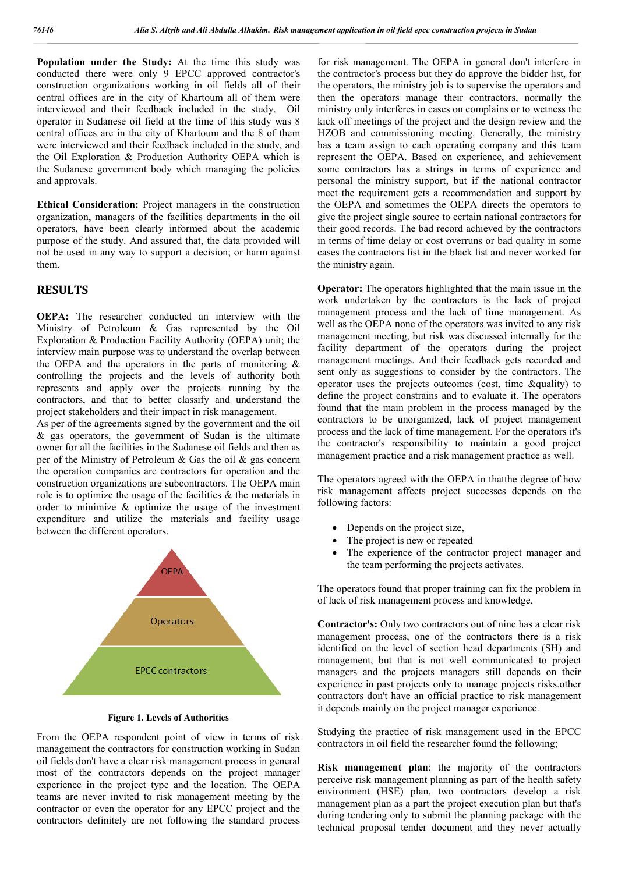**Population under the Study:** At the time this study was conducted there were only 9 EPCC approved contractor's construction organizations working in oil fields all of their central offices are in the city of Khartoum all of them were interviewed and their feedback included in the study. Oil operator in Sudanese oil field at the time of this study was 8 central offices are in the city of Khartoum and the 8 of them were interviewed and their feedback included in the study, and the Oil Exploration & Production Authority OEPA which is the Sudanese government body which managing the policies and approvals.

**Ethical Consideration:** Project managers in the construction organization, managers of the facilities departments in the oil operators, have been clearly informed about the academic purpose of the study. And assured that, the data provided will not be used in any way to support a decision; or harm against them.

### **RESULTS**

**OEPA:** The researcher conducted an interview with the Ministry of Petroleum & Gas represented by the Oil Exploration & Production Facility Authority (OEPA) unit; the interview main purpose was to understand the overlap between the OEPA and the operators in the parts of monitoring  $\&$ controlling the projects and the levels of authority both represents and apply over the projects running by the contractors, and that to better classify and understand the project stakeholders and their impact in risk management.

As per of the agreements signed by the government and the oil & gas operators, the government of Sudan is the ultimate owner for all the facilities in the Sudanese oil fields and then as per of the Ministry of Petroleum & Gas the oil & gas concern the operation companies are contractors for operation and the construction organizations are subcontractors. The OEPA main role is to optimize the usage of the facilities  $\&$  the materials in order to minimize & optimize the usage of the investment expenditure and utilize the materials and facility usage between the different operators.



**Figure 1. Levels of Authorities**

From the OEPA respondent point of view in terms of risk management the contractors for construction working in Sudan oil fields don't have a clear risk management process in general most of the contractors depends on the project manager experience in the project type and the location. The OEPA teams are never invited to risk management meeting by the contractor or even the operator for any EPCC project and the contractors definitely are not following the standard process

for risk management. The OEPA in general don't interfere in the contractor's process but they do approve the bidder list, for the operators, the ministry job is to supervise the operators and then the operators manage their contractors, normally the ministry only interferes in cases on complains or to wetness the kick off meetings of the project and the design review and the HZOB and commissioning meeting. Generally, the ministry has a team assign to each operating company and this team represent the OEPA. Based on experience, and achievement some contractors has a strings in terms of experience and personal the ministry support, but if the national contractor meet the requirement gets a recommendation and support by the OEPA and sometimes the OEPA directs the operators to give the project single source to certain national contractors for their good records. The bad record achieved by the contractors in terms of time delay or cost overruns or bad quality in some cases the contractors list in the black list and never worked for the ministry again.

**Operator:** The operators highlighted that the main issue in the work undertaken by the contractors is the lack of project management process and the lack of time management. As well as the OEPA none of the operators was invited to any risk management meeting, but risk was discussed internally for the facility department of the operators during the project management meetings. And their feedback gets recorded and sent only as suggestions to consider by the contractors. The operator uses the projects outcomes (cost, time &quality) to define the project constrains and to evaluate it. The operators found that the main problem in the process managed by the contractors to be unorganized, lack of project management process and the lack of time management. For the operators it's the contractor's responsibility to maintain a good project management practice and a risk management practice as well.

The operators agreed with the OEPA in thatthe degree of how risk management affects project successes depends on the following factors:

- Depends on the project size,
- The project is new or repeated
- The experience of the contractor project manager and the team performing the projects activates.

The operators found that proper training can fix the problem in of lack of risk management process and knowledge.

**Contractor's:** Only two contractors out of nine has a clear risk management process, one of the contractors there is a risk identified on the level of section head departments (SH) and management, but that is not well communicated to project managers and the projects managers still depends on their experience in past projects only to manage projects risks.other contractors don't have an official practice to risk management it depends mainly on the project manager experience.

Studying the practice of risk management used in the EPCC contractors in oil field the researcher found the following;

**Risk management plan**: the majority of the contractors perceive risk management planning as part of the health safety environment (HSE) plan, two contractors develop a risk management plan as a part the project execution plan but that's during tendering only to submit the planning package with the technical proposal tender document and they never actually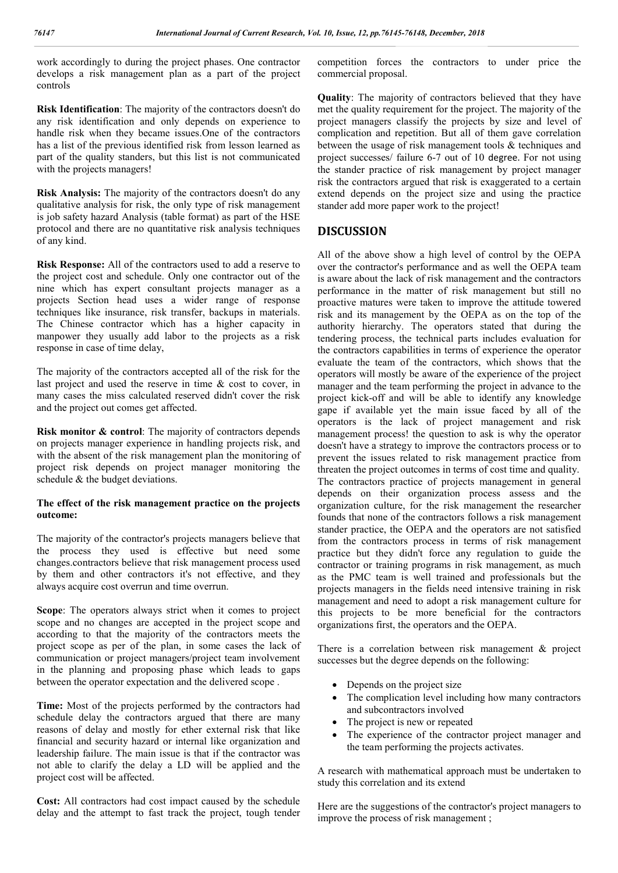work accordingly to during the project phases. One contractor develops a risk management plan as a part of the project controls

**Risk Identification**: The majority of the contractors doesn't do any risk identification and only depends on experience to handle risk when they became issues.One of the contractors has a list of the previous identified risk from lesson learned as part of the quality standers, but this list is not communicated with the projects managers!

**Risk Analysis:** The majority of the contractors doesn't do any qualitative analysis for risk, the only type of risk management is job safety hazard Analysis (table format) as part of the HSE protocol and there are no quantitative risk analysis techniques of any kind.

**Risk Response:** All of the contractors used to add a reserve to the project cost and schedule. Only one contractor out of the nine which has expert consultant projects manager as a projects Section head uses a wider range of response techniques like insurance, risk transfer, backups in materials. The Chinese contractor which has a higher capacity in manpower they usually add labor to the projects as a risk response in case of time delay,

The majority of the contractors accepted all of the risk for the last project and used the reserve in time & cost to cover, in many cases the miss calculated reserved didn't cover the risk and the project out comes get affected.

**Risk monitor & control**: The majority of contractors depends on projects manager experience in handling projects risk, and with the absent of the risk management plan the monitoring of project risk depends on project manager monitoring the schedule & the budget deviations.

#### **The effect of the risk management practice on the projects outcome:**

The majority of the contractor's projects managers believe that the process they used is effective but need some changes.contractors believe that risk management process used by them and other contractors it's not effective, and they always acquire cost overrun and time overrun.

**Scope**: The operators always strict when it comes to project scope and no changes are accepted in the project scope and according to that the majority of the contractors meets the project scope as per of the plan, in some cases the lack of communication or project managers/project team involvement in the planning and proposing phase which leads to gaps between the operator expectation and the delivered scope .

**Time:** Most of the projects performed by the contractors had schedule delay the contractors argued that there are many reasons of delay and mostly for ether external risk that like financial and security hazard or internal like organization and leadership failure. The main issue is that if the contractor was not able to clarify the delay a LD will be applied and the project cost will be affected.

**Cost:** All contractors had cost impact caused by the schedule delay and the attempt to fast track the project, tough tender competition forces the contractors to under price the commercial proposal.

**Quality**: The majority of contractors believed that they have met the quality requirement for the project. The majority of the project managers classify the projects by size and level of complication and repetition. But all of them gave correlation between the usage of risk management tools & techniques and project successes/ failure 6-7 out of 10 degree. For not using the stander practice of risk management by project manager risk the contractors argued that risk is exaggerated to a certain extend depends on the project size and using the practice stander add more paper work to the project!

#### **DISCUSSION**

All of the above show a high level of control by the OEPA over the contractor's performance and as well the OEPA team is aware about the lack of risk management and the contractors performance in the matter of risk management but still no proactive matures were taken to improve the attitude towered risk and its management by the OEPA as on the top of the authority hierarchy. The operators stated that during the tendering process, the technical parts includes evaluation for the contractors capabilities in terms of experience the operator evaluate the team of the contractors, which shows that the operators will mostly be aware of the experience of the project manager and the team performing the project in advance to the project kick-off and will be able to identify any knowledge gape if available yet the main issue faced by all of the operators is the lack of project management and risk management process! the question to ask is why the operator doesn't have a strategy to improve the contractors process or to prevent the issues related to risk management practice from threaten the project outcomes in terms of cost time and quality. The contractors practice of projects management in general depends on their organization process assess and the organization culture, for the risk management the researcher founds that none of the contractors follows a risk management stander practice, the OEPA and the operators are not satisfied from the contractors process in terms of risk management practice but they didn't force any regulation to guide the contractor or training programs in risk management, as much as the PMC team is well trained and professionals but the projects managers in the fields need intensive training in risk management and need to adopt a risk management culture for this projects to be more beneficial for the contractors organizations first, the operators and the OEPA.

There is a correlation between risk management & project successes but the degree depends on the following:

- Depends on the project size
- The complication level including how many contractors and subcontractors involved
- The project is new or repeated
- The experience of the contractor project manager and the team performing the projects activates.

A research with mathematical approach must be undertaken to study this correlation and its extend

Here are the suggestions of the contractor's project managers to improve the process of risk management ;